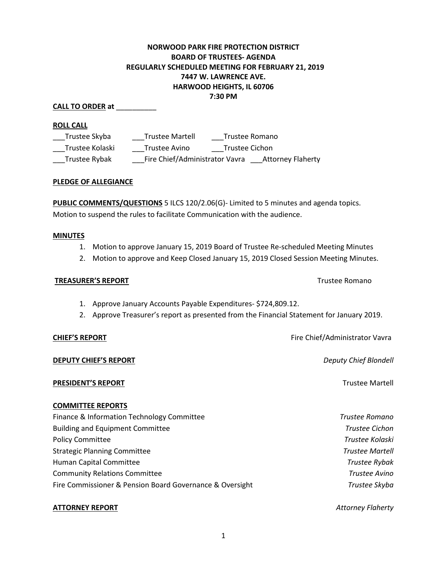# **NORWOOD PARK FIRE PROTECTION DISTRICT BOARD OF TRUSTEES- AGENDA REGULARLY SCHEDULED MEETING FOR FEBRUARY 21, 2019 7447 W. LAWRENCE AVE. HARWOOD HEIGHTS, IL 60706 7:30 PM**

## **CALL TO ORDER at** \_\_\_\_\_\_\_\_\_\_

#### **ROLL CALL**

| Trustee Skyba   | <b>Trustee Martell</b>         | Trustee Romano           |
|-----------------|--------------------------------|--------------------------|
| Trustee Kolaski | Trustee Avino                  | Trustee Cichon           |
| Trustee Rybak   | Fire Chief/Administrator Vavra | <b>Attorney Flaherty</b> |

#### **PLEDGE OF ALLEGIANCE**

**PUBLIC COMMENTS/QUESTIONS** 5 ILCS 120/2.06(G)- Limited to 5 minutes and agenda topics. Motion to suspend the rules to facilitate Communication with the audience.

#### **MINUTES**

- 1. Motion to approve January 15, 2019 Board of Trustee Re-scheduled Meeting Minutes
- 2. Motion to approve and Keep Closed January 15, 2019 Closed Session Meeting Minutes.

#### **TREASURER'S REPORT** TREASURER'S **REPORT**

- 1. Approve January Accounts Payable Expenditures- \$724,809.12.
- 2. Approve Treasurer's report as presented from the Financial Statement for January 2019.

**DEPUTY CHIEF'S REPORT** *Deputy Chief Blondell*

# **PRESIDENT'S REPORT Trustee Martell**

## **COMMITTEE REPORTS**

| Finance & Information Technology Committee               | Trustee Romano         |
|----------------------------------------------------------|------------------------|
| <b>Building and Equipment Committee</b>                  | <b>Trustee Cichon</b>  |
| <b>Policy Committee</b>                                  | Trustee Kolaski        |
| <b>Strategic Planning Committee</b>                      | <b>Trustee Martell</b> |
| Human Capital Committee                                  | Trustee Rybak          |
| <b>Community Relations Committee</b>                     | Trustee Avino          |
| Fire Commissioner & Pension Board Governance & Oversight | Trustee Skyba          |
|                                                          |                        |

#### **ATTORNEY REPORT** *Attorney Flaherty*

**CHIEF'S REPORT CHIEF'S REPORT Fire Chief/Administrator Vavra**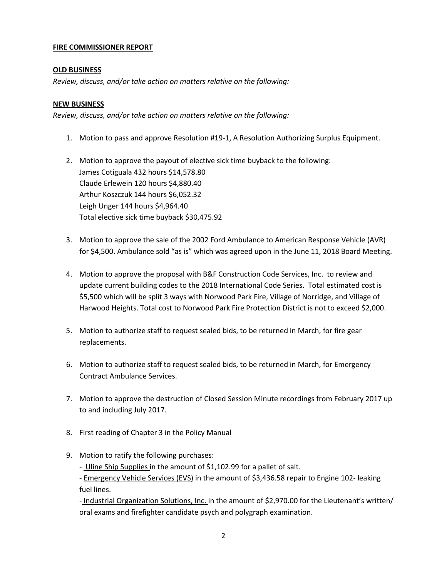## **FIRE COMMISSIONER REPORT**

# **OLD BUSINESS**

*Review, discuss, and/or take action on matters relative on the following:*

# **NEW BUSINESS**

*Review, discuss, and/or take action on matters relative on the following:*

1. Motion to pass and approve Resolution #19-1, A Resolution Authorizing Surplus Equipment.

2. Motion to approve the payout of elective sick time buyback to the following: James Cotiguala 432 hours \$14,578.80 Claude Erlewein 120 hours \$4,880.40 Arthur Koszczuk 144 hours \$6,052.32 Leigh Unger 144 hours \$4,964.40 Total elective sick time buyback \$30,475.92

- 3. Motion to approve the sale of the 2002 Ford Ambulance to American Response Vehicle (AVR) for \$4,500. Ambulance sold "as is" which was agreed upon in the June 11, 2018 Board Meeting.
- 4. Motion to approve the proposal with B&F Construction Code Services, Inc. to review and update current building codes to the 2018 International Code Series. Total estimated cost is \$5,500 which will be split 3 ways with Norwood Park Fire, Village of Norridge, and Village of Harwood Heights. Total cost to Norwood Park Fire Protection District is not to exceed \$2,000.
- 5. Motion to authorize staff to request sealed bids, to be returned in March, for fire gear replacements.
- 6. Motion to authorize staff to request sealed bids, to be returned in March, for Emergency Contract Ambulance Services.
- 7. Motion to approve the destruction of Closed Session Minute recordings from February 2017 up to and including July 2017.
- 8. First reading of Chapter 3 in the Policy Manual
- 9. Motion to ratify the following purchases:

- Uline Ship Supplies in the amount of \$1,102.99 for a pallet of salt.

- Emergency Vehicle Services (EVS) in the amount of \$3,436.58 repair to Engine 102- leaking fuel lines.

- Industrial Organization Solutions, Inc. in the amount of \$2,970.00 for the Lieutenant's written/ oral exams and firefighter candidate psych and polygraph examination.